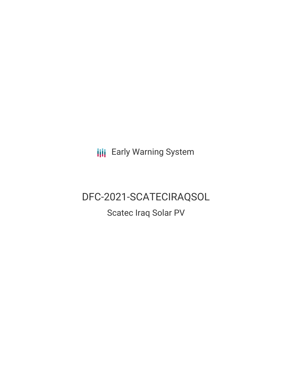**III** Early Warning System

# DFC-2021-SCATECIRAQSOL

Scatec Iraq Solar PV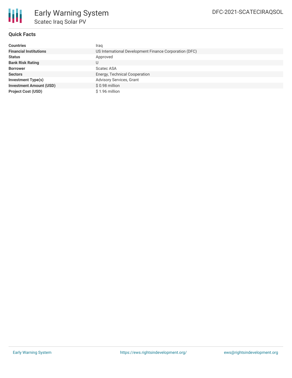

### **Quick Facts**

| <b>Countries</b>               | Iraq                                                   |
|--------------------------------|--------------------------------------------------------|
| <b>Financial Institutions</b>  | US International Development Finance Corporation (DFC) |
| <b>Status</b>                  | Approved                                               |
| <b>Bank Risk Rating</b>        | U                                                      |
| <b>Borrower</b>                | <b>Scatec ASA</b>                                      |
| <b>Sectors</b>                 | Energy, Technical Cooperation                          |
| <b>Investment Type(s)</b>      | Advisory Services, Grant                               |
| <b>Investment Amount (USD)</b> | \$0.98 million                                         |
| <b>Project Cost (USD)</b>      | \$1.96 million                                         |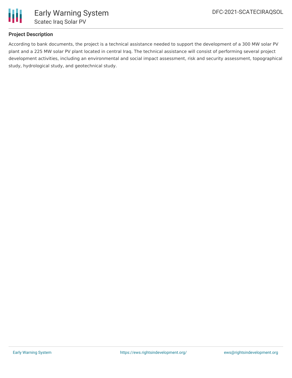

### **Project Description**

According to bank documents, the project is a technical assistance needed to support the development of a 300 MW solar PV plant and a 225 MW solar PV plant located in central Iraq. The technical assistance will consist of performing several project development activities, including an environmental and social impact assessment, risk and security assessment, topographical study, hydrological study, and geotechnical study.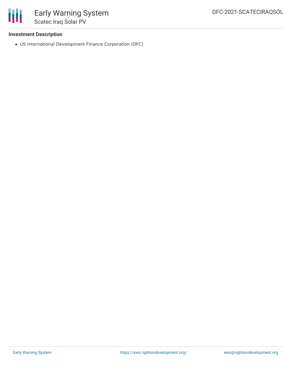

### **Investment Description**

US International Development Finance Corporation (DFC)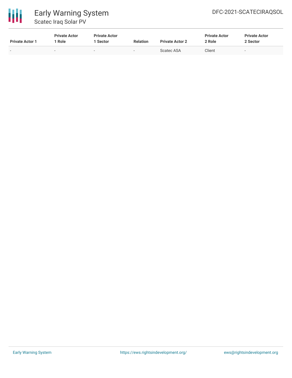



# Early Warning System Scatec Iraq Solar PV

| <b>Private Actor 1</b> | <b>Private Actor</b><br>Role | <b>Private Actor</b><br>1 Sector | <b>Relation</b> | <b>Private Actor 2</b> | <b>Private Actor</b><br>2 Role | <b>Private Actor</b><br>2 Sector |
|------------------------|------------------------------|----------------------------------|-----------------|------------------------|--------------------------------|----------------------------------|
| $\sim$                 | $\sim$                       | $\sim$                           | $\sim$          | Scatec ASA             | Client                         | $\overline{\phantom{a}}$         |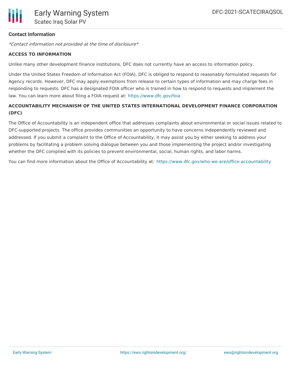### **Contact Information**

\*Contact information not provided at the time of disclosure\*

### **ACCESS TO INFORMATION**

Unlike many other development finance institutions, DFC does not currently have an access to information policy.

Under the United States Freedom of Information Act (FOIA), DFC is obliged to respond to reasonably formulated requests for Agency records. However, DFC may apply exemptions from release to certain types of information and may charge fees in responding to requests. DFC has a designated FOIA officer who is trained in how to respond to requests and implement the law. You can learn more about filing a FOIA request at: <https://www.dfc.gov/foia>

## **ACCOUNTABILITY MECHANISM OF THE UNITED STATES INTERNATIONAL DEVELOPMENT FINANCE CORPORATION (DFC)**

The Office of Accountability is an independent office that addresses complaints about environmental or social issues related to DFC-supported projects. The office provides communities an opportunity to have concerns independently reviewed and addressed. If you submit a complaint to the Office of Accountability, it may assist you by either seeking to address your problems by facilitating a problem solving dialogue between you and those implementing the project and/or investigating whether the DFC complied with its policies to prevent environmental, social, human rights, and labor harms.

You can find more information about the Office of Accountability at: <https://www.dfc.gov/who-we-are/office-accountability>